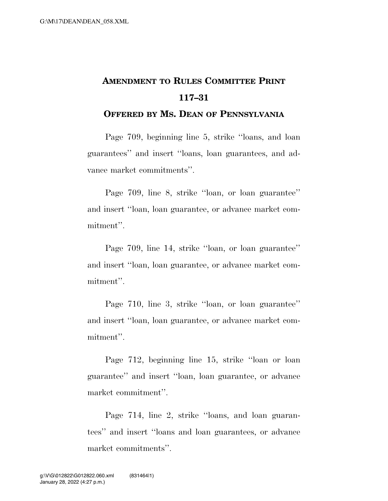## **AMENDMENT TO RULES COMMITTEE PRINT 117–31**

## **OFFERED BY MS. DEAN OF PENNSYLVANIA**

Page 709, beginning line 5, strike ''loans, and loan guarantees'' and insert ''loans, loan guarantees, and advance market commitments''.

Page 709, line 8, strike ''loan, or loan guarantee'' and insert ''loan, loan guarantee, or advance market commitment''.

Page 709, line 14, strike ''loan, or loan guarantee'' and insert ''loan, loan guarantee, or advance market commitment''.

Page 710, line 3, strike ''loan, or loan guarantee'' and insert ''loan, loan guarantee, or advance market commitment''.

Page 712, beginning line 15, strike ''loan or loan guarantee'' and insert ''loan, loan guarantee, or advance market commitment''.

Page 714, line 2, strike ''loans, and loan guarantees'' and insert ''loans and loan guarantees, or advance market commitments''.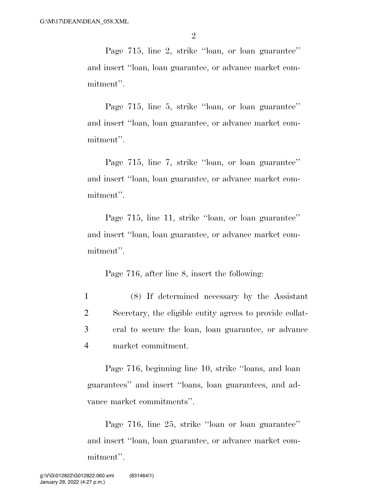Page 715, line 2, strike ''loan, or loan guarantee'' and insert ''loan, loan guarantee, or advance market commitment''.

Page 715, line 5, strike ''loan, or loan guarantee'' and insert ''loan, loan guarantee, or advance market commitment''.

Page 715, line 7, strike ''loan, or loan guarantee'' and insert ''loan, loan guarantee, or advance market commitment''.

Page 715, line 11, strike ''loan, or loan guarantee'' and insert ''loan, loan guarantee, or advance market commitment''.

Page 716, after line 8, insert the following:

 (8) If determined necessary by the Assistant Secretary, the eligible entity agrees to provide collat- eral to secure the loan, loan guarantee, or advance market commitment.

Page 716, beginning line 10, strike ''loans, and loan guarantees'' and insert ''loans, loan guarantees, and advance market commitments''.

Page 716, line 25, strike ''loan or loan guarantee'' and insert ''loan, loan guarantee, or advance market commitment''.